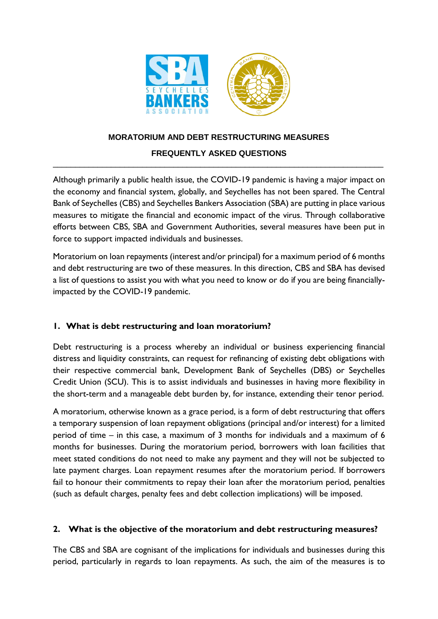

### **MORATORIUM AND DEBT RESTRUCTURING MEASURES**

#### **FREQUENTLY ASKED QUESTIONS**   $\_$  , and the set of the set of the set of the set of the set of the set of the set of the set of the set of the set of the set of the set of the set of the set of the set of the set of the set of the set of the set of th

Although primarily a public health issue, the COVID-19 pandemic is having a major impact on the economy and financial system, globally, and Seychelles has not been spared. The Central Bank of Seychelles (CBS) and Seychelles Bankers Association (SBA) are putting in place various measures to mitigate the financial and economic impact of the virus. Through collaborative efforts between CBS, SBA and Government Authorities, several measures have been put in force to support impacted individuals and businesses.

Moratorium on loan repayments (interest and/or principal) for a maximum period of 6 months and debt restructuring are two of these measures. In this direction, CBS and SBA has devised a list of questions to assist you with what you need to know or do if you are being financiallyimpacted by the COVID-19 pandemic.

### **1. What is debt restructuring and loan moratorium?**

Debt restructuring is a process whereby an individual or business experiencing financial distress and liquidity constraints, can request for refinancing of existing debt obligations with their respective commercial bank, Development Bank of Seychelles (DBS) or Seychelles Credit Union (SCU). This is to assist individuals and businesses in having more flexibility in the short-term and a manageable debt burden by, for instance, extending their tenor period.

A moratorium, otherwise known as a grace period, is a form of debt restructuring that offers a temporary suspension of loan repayment obligations (principal and/or interest) for a limited period of time – in this case, a maximum of 3 months for individuals and a maximum of 6 months for businesses. During the moratorium period, borrowers with loan facilities that meet stated conditions do not need to make any payment and they will not be subjected to late payment charges. Loan repayment resumes after the moratorium period. If borrowers fail to honour their commitments to repay their loan after the moratorium period, penalties (such as default charges, penalty fees and debt collection implications) will be imposed.

### **2. What is the objective of the moratorium and debt restructuring measures?**

The CBS and SBA are cognisant of the implications for individuals and businesses during this period, particularly in regards to loan repayments. As such, the aim of the measures is to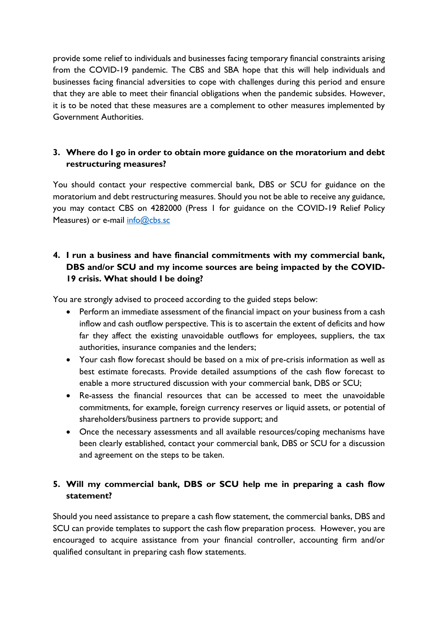provide some relief to individuals and businesses facing temporary financial constraints arising from the COVID-19 pandemic. The CBS and SBA hope that this will help individuals and businesses facing financial adversities to cope with challenges during this period and ensure that they are able to meet their financial obligations when the pandemic subsides. However, it is to be noted that these measures are a complement to other measures implemented by Government Authorities.

### **3. Where do I go in order to obtain more guidance on the moratorium and debt restructuring measures?**

You should contact your respective commercial bank, DBS or SCU for guidance on the moratorium and debt restructuring measures. Should you not be able to receive any guidance, you may contact CBS on 4282000 (Press 1 for guidance on the COVID-19 Relief Policy Measures) or e-mail [info@cbs.sc](mailto:info@cbs.sc)

## **4. I run a business and have financial commitments with my commercial bank, DBS and/or SCU and my income sources are being impacted by the COVID-19 crisis. What should I be doing?**

You are strongly advised to proceed according to the guided steps below:

- Perform an immediate assessment of the financial impact on your business from a cash inflow and cash outflow perspective. This is to ascertain the extent of deficits and how far they affect the existing unavoidable outflows for employees, suppliers, the tax authorities, insurance companies and the lenders;
- Your cash flow forecast should be based on a mix of pre-crisis information as well as best estimate forecasts. Provide detailed assumptions of the cash flow forecast to enable a more structured discussion with your commercial bank, DBS or SCU;
- Re-assess the financial resources that can be accessed to meet the unavoidable commitments, for example, foreign currency reserves or liquid assets, or potential of shareholders/business partners to provide support; and
- Once the necessary assessments and all available resources/coping mechanisms have been clearly established, contact your commercial bank, DBS or SCU for a discussion and agreement on the steps to be taken.

# **5. Will my commercial bank, DBS or SCU help me in preparing a cash flow statement?**

Should you need assistance to prepare a cash flow statement, the commercial banks, DBS and SCU can provide templates to support the cash flow preparation process. However, you are encouraged to acquire assistance from your financial controller, accounting firm and/or qualified consultant in preparing cash flow statements.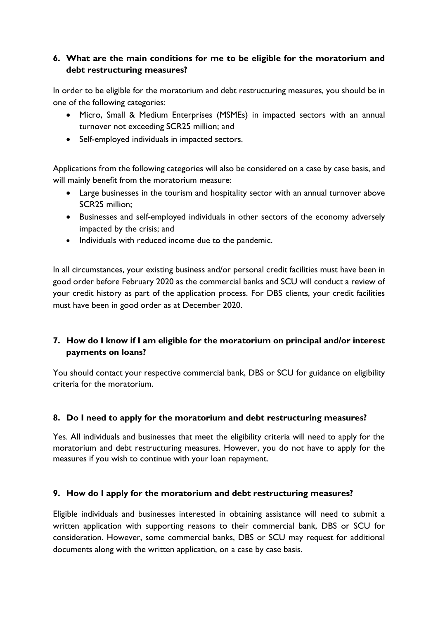## **6. What are the main conditions for me to be eligible for the moratorium and debt restructuring measures?**

In order to be eligible for the moratorium and debt restructuring measures, you should be in one of the following categories:

- Micro, Small & Medium Enterprises (MSMEs) in impacted sectors with an annual turnover not exceeding SCR25 million; and
- Self-employed individuals in impacted sectors.

Applications from the following categories will also be considered on a case by case basis, and will mainly benefit from the moratorium measure:

- Large businesses in the tourism and hospitality sector with an annual turnover above SCR25 million;
- Businesses and self-employed individuals in other sectors of the economy adversely impacted by the crisis; and
- Individuals with reduced income due to the pandemic.

In all circumstances, your existing business and/or personal credit facilities must have been in good order before February 2020 as the commercial banks and SCU will conduct a review of your credit history as part of the application process. For DBS clients, your credit facilities must have been in good order as at December 2020.

## **7. How do I know if I am eligible for the moratorium on principal and/or interest payments on loans?**

You should contact your respective commercial bank, DBS or SCU for guidance on eligibility criteria for the moratorium.

### **8. Do I need to apply for the moratorium and debt restructuring measures?**

Yes. All individuals and businesses that meet the eligibility criteria will need to apply for the moratorium and debt restructuring measures. However, you do not have to apply for the measures if you wish to continue with your loan repayment.

### **9. How do I apply for the moratorium and debt restructuring measures?**

Eligible individuals and businesses interested in obtaining assistance will need to submit a written application with supporting reasons to their commercial bank, DBS or SCU for consideration. However, some commercial banks, DBS or SCU may request for additional documents along with the written application, on a case by case basis.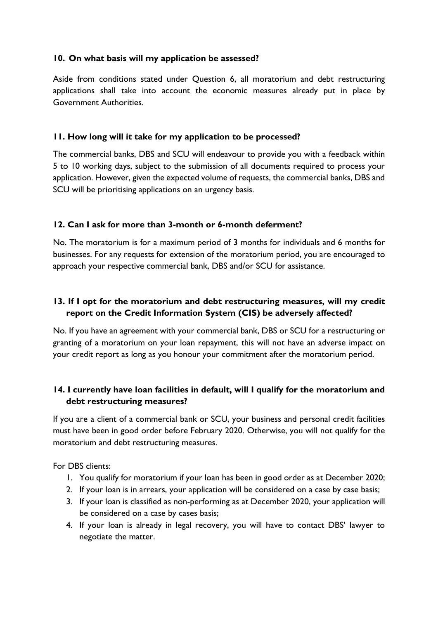#### **10. On what basis will my application be assessed?**

Aside from conditions stated under Question 6, all moratorium and debt restructuring applications shall take into account the economic measures already put in place by Government Authorities.

#### **11. How long will it take for my application to be processed?**

The commercial banks, DBS and SCU will endeavour to provide you with a feedback within 5 to 10 working days, subject to the submission of all documents required to process your application. However, given the expected volume of requests, the commercial banks, DBS and SCU will be prioritising applications on an urgency basis.

#### **12. Can I ask for more than 3-month or 6-month deferment?**

No. The moratorium is for a maximum period of 3 months for individuals and 6 months for businesses. For any requests for extension of the moratorium period, you are encouraged to approach your respective commercial bank, DBS and/or SCU for assistance.

## **13. If I opt for the moratorium and debt restructuring measures, will my credit report on the Credit Information System (CIS) be adversely affected?**

No. If you have an agreement with your commercial bank, DBS or SCU for a restructuring or granting of a moratorium on your loan repayment, this will not have an adverse impact on your credit report as long as you honour your commitment after the moratorium period.

## **14. I currently have loan facilities in default, will I qualify for the moratorium and debt restructuring measures?**

If you are a client of a commercial bank or SCU, your business and personal credit facilities must have been in good order before February 2020. Otherwise, you will not qualify for the moratorium and debt restructuring measures.

For DBS clients:

- 1. You qualify for moratorium if your loan has been in good order as at December 2020;
- 2. If your loan is in arrears, your application will be considered on a case by case basis;
- 3. If your loan is classified as non-performing as at December 2020, your application will be considered on a case by cases basis;
- 4. If your loan is already in legal recovery, you will have to contact DBS' lawyer to negotiate the matter.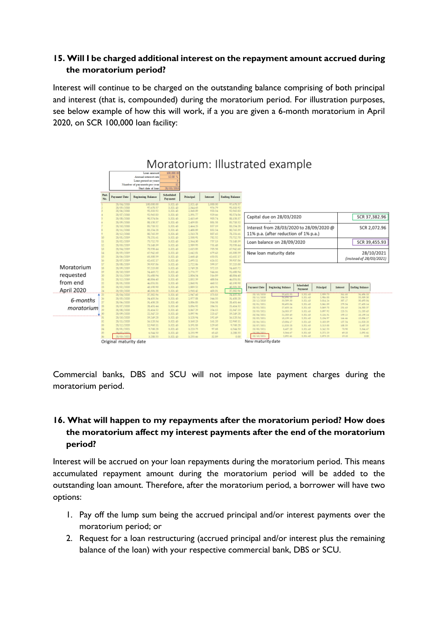### **15. Will I be charged additional interest on the repayment amount accrued during the moratorium period?**

Interest will continue to be charged on the outstanding balance comprising of both principal and interest (that is, compounded) during the moratorium period. For illustration purposes, see below example of how this will work, if a you are given a 6-month moratorium in April 2020, on SCR 100,000 loan facility:



Commercial banks, DBS and SCU will not impose late payment charges during the moratorium period.

## **16. What will happen to my repayments after the moratorium period? How does the moratorium affect my interest payments after the end of the moratorium period?**

Interest will be accrued on your loan repayments during the moratorium period. This means accumulated repayment amount during the moratorium period will be added to the outstanding loan amount. Therefore, after the moratorium period, a borrower will have two options:

- 1. Pay off the lump sum being the accrued principal and/or interest payments over the moratorium period; or
- 2. Request for a loan restructuring (accrued principal and/or interest plus the remaining balance of the loan) with your respective commercial bank, DBS or SCU.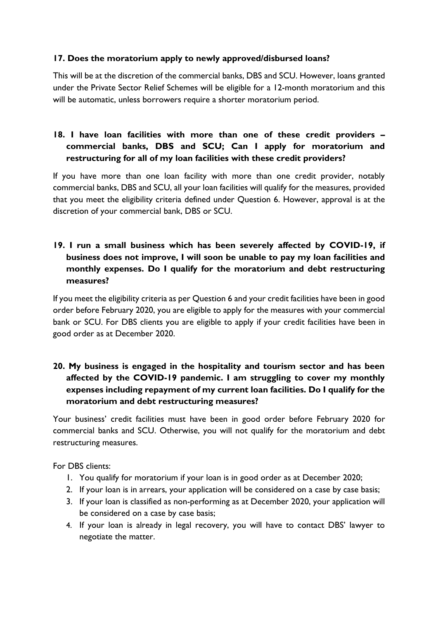### **17. Does the moratorium apply to newly approved/disbursed loans?**

This will be at the discretion of the commercial banks, DBS and SCU. However, loans granted under the Private Sector Relief Schemes will be eligible for a 12-month moratorium and this will be automatic, unless borrowers require a shorter moratorium period.

## **18. I have loan facilities with more than one of these credit providers – commercial banks, DBS and SCU; Can I apply for moratorium and restructuring for all of my loan facilities with these credit providers?**

If you have more than one loan facility with more than one credit provider, notably commercial banks, DBS and SCU, all your loan facilities will qualify for the measures, provided that you meet the eligibility criteria defined under Question 6. However, approval is at the discretion of your commercial bank, DBS or SCU.

## **19. I run a small business which has been severely affected by COVID-19, if business does not improve, I will soon be unable to pay my loan facilities and monthly expenses. Do I qualify for the moratorium and debt restructuring measures?**

If you meet the eligibility criteria as per Question 6 and your credit facilities have been in good order before February 2020, you are eligible to apply for the measures with your commercial bank or SCU. For DBS clients you are eligible to apply if your credit facilities have been in good order as at December 2020.

## **20. My business is engaged in the hospitality and tourism sector and has been affected by the COVID-19 pandemic. I am struggling to cover my monthly expenses including repayment of my current loan facilities. Do I qualify for the moratorium and debt restructuring measures?**

Your business' credit facilities must have been in good order before February 2020 for commercial banks and SCU. Otherwise, you will not qualify for the moratorium and debt restructuring measures.

For DBS clients:

- 1. You qualify for moratorium if your loan is in good order as at December 2020;
- 2. If your loan is in arrears, your application will be considered on a case by case basis;
- 3. If your loan is classified as non-performing as at December 2020, your application will be considered on a case by case basis;
- 4. If your loan is already in legal recovery, you will have to contact DBS' lawyer to negotiate the matter.